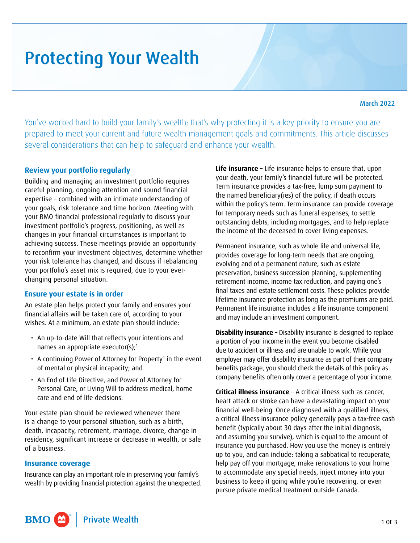# <span id="page-0-0"></span>Protecting Your Wealth

You've worked hard to build your family's wealth; that's why protecting it is a key priority to ensure you are prepared to meet your current and future wealth management goals and commitments. This article discusses several considerations that can help to safeguard and enhance your wealth.

## **Review your portfolio regularly**

Building and managing an investment portfolio requires careful planning, ongoing attention and sound financial expertise – combined with an intimate understanding of your goals, risk tolerance and time horizon. Meeting with your BMO financial professional regularly to discuss your investment portfolio's progress, positioning, as well as changes in your financial circumstances is important to achieving success. These meetings provide an opportunity to reconfirm your investment objectives, determine whether your risk tolerance has changed, and discuss if rebalancing your portfolio's asset mix is required, due to your everchanging personal situation.

## **Ensure your estate is in order**

An estate plan helps protect your family and ensures your financial affairs will be taken care of, according to your wishes. At a minimum, an estate plan should include:

- An up-to-date Will that reflects your intentions and names an appropriate executor(s); $<sup>1</sup>$  $<sup>1</sup>$  $<sup>1</sup>$ </sup>
- $\,\cdot\,$  A continuing Power of Attorney for Property $^{\scriptscriptstyle 1}$  in the event of mental or physical incapacity; and
- An End of Life Directive, and Power of Attorney for Personal Care, or Living Will to address medical, home care and end of life decisions.

Your estate plan should be reviewed whenever there is a change to your personal situation, such as a birth, death, incapacity, retirement, marriage, divorce, change in residency, significant increase or decrease in wealth, or sale of a business.

#### **Insurance coverage**

Insurance can play an important role in preserving your family's wealth by providing financial protection against the unexpected. **Life insurance** – Life insurance helps to ensure that, upon your death, your family's financial future will be protected. Term insurance provides a tax-free, lump sum payment to the named beneficiary(ies) of the policy, if death occurs within the policy's term. Term insurance can provide coverage for temporary needs such as funeral expenses, to settle outstanding debts, including mortgages, and to help replace the income of the deceased to cover living expenses.

Permanent insurance, such as whole life and universal life, provides coverage for long-term needs that are ongoing, evolving and of a permanent nature, such as estate preservation, business succession planning, supplementing retirement income, income tax reduction, and paying one's final taxes and estate settlement costs. These policies provide lifetime insurance protection as long as the premiums are paid. Permanent life insurance includes a life insurance component and may include an investment component.

**Disability insurance** – Disability insurance is designed to replace a portion of your income in the event you become disabled due to accident or illness and are unable to work. While your employer may offer disability insurance as part of their company benefits package, you should check the details of this policy as company benefits often only cover a percentage of your income.

**Critical illness insurance** – A critical illness such as cancer, heart attack or stroke can have a devastating impact on your financial well-being. Once diagnosed with a qualified illness, a critical illness insurance policy generally pays a tax-free cash benefit (typically about 30 days after the initial diagnosis, and assuming you survive), which is equal to the amount of insurance you purchased. How you use the money is entirely up to you, and can include: taking a sabbatical to recuperate, help pay off your mortgage, make renovations to your home to accommodate any special needs, inject money into your business to keep it going while you're recovering, or even pursue private medical treatment outside Canada.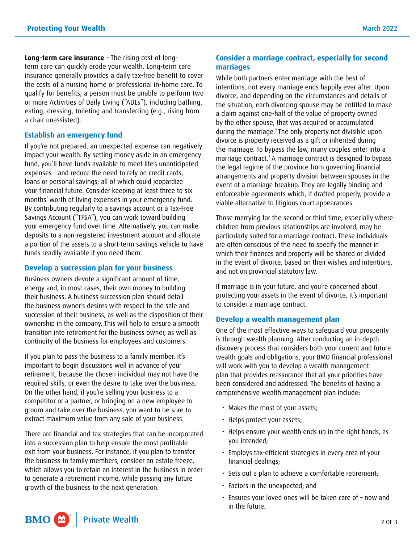<span id="page-1-0"></span>**Long-term care insurance** – The rising cost of longterm care can quickly erode your wealth. Long-term care insurance generally provides a daily tax-free benefit to cover the costs of a nursing home or professional in-home care. To qualify for benefits, a person must be unable to perform two or more Activities of Daily Living ("ADLs"), including bathing, eating, dressing, toileting and transferring (e.g., rising from a chair unassisted).

#### **Establish an emergency fund**

If you're not prepared, an unexpected expense can negatively impact your wealth. By setting money aside in an emergency fund, you'll have funds available to meet life's unanticipated expenses – and reduce the need to rely on credit cards, loans or personal savings; all of which could jeopardize your financial future. Consider keeping at least three to six months' worth of living expenses in your emergency fund. By contributing regularly to a savings account or a Tax-Free Savings Account ("TFSA"), you can work toward building your emergency fund over time. Alternatively, you can make deposits to a non-registered investment account and allocate a portion of the assets to a short-term savings vehicle to have funds readily available if you need them.

#### **Develop a succession plan for your business**

Business owners devote a significant amount of time, energy and, in most cases, their own money to building their business. A business succession plan should detail the business owner's desires with respect to the sale and succession of their business, as well as the disposition of their ownership in the company. This will help to ensure a smooth transition into retirement for the business owner, as well as continuity of the business for employees and customers.

If you plan to pass the business to a family member, it's important to begin discussions well in advance of your retirement, because the chosen individual may not have the required skills, or even the desire to take over the business. On the other hand, if you're selling your business to a competitor or a partner, or bringing on a new employee to groom and take over the business, you want to be sure to extract maximum value from any sale of your business.

There are financial and tax strategies that can be incorporated into a succession plan to help ensure the most profitable exit from your business. For instance, if you plan to transfer the business to family members, consider an estate freeze, which allows you to retain an interest in the business in order to generate a retirement income, while passing any future growth of the business to the next generation.

#### **Consider a marriage contract, especially for second marriages**

While both partners enter marriage with the best of intentions, not every marriage ends happily ever after. Upon divorce, and depending on the circumstances and details of the situation, each divorcing spouse may be entitled to make a claim against one-half of the value of property owned by the other spouse, that was acquired or accumulated during the marriage[.2](#page-2-0) The only property not divisible upon divorce is property received as a gift or inherited during the marriage. To bypass the law, many couples enter into a marriage contract[.3](#page-2-0) A marriage contract is designed to bypass the legal regime of the province from governing financial arrangements and property division between spouses in the event of a marriage breakup. They are legally binding and enforceable agreements which, if drafted properly, provide a viable alternative to litigious court appearances.

Those marrying for the second or third time, especially where children from previous relationships are involved, may be particularly suited for a marriage contract. These individuals are often conscious of the need to specify the manner in which their finances and property will be shared or divided in the event of divorce, based on their wishes and intentions, and not on provincial statutory law.

If marriage is in your future, and you're concerned about protecting your assets in the event of divorce, it's important to consider a marriage contract.

#### **Develop a wealth management plan**

One of the most effective ways to safeguard your prosperity is through wealth planning. After conducting an in-depth discovery process that considers both your current and future wealth goals and obligations, your BMO financial professional will work with you to develop a wealth management plan that provides reassurance that all your priorities have been considered and addressed. The benefits of having a comprehensive wealth management plan include:

- Makes the most of your assets;
- Helps protect your assets;
- Helps ensure your wealth ends up in the right hands, as you intended;
- Employs tax-efficient strategies in every area of your financial dealings;
- Sets out a plan to achieve a comfortable retirement;
- Factors in the unexpected; and
- Ensures your loved ones will be taken care of now and in the future.